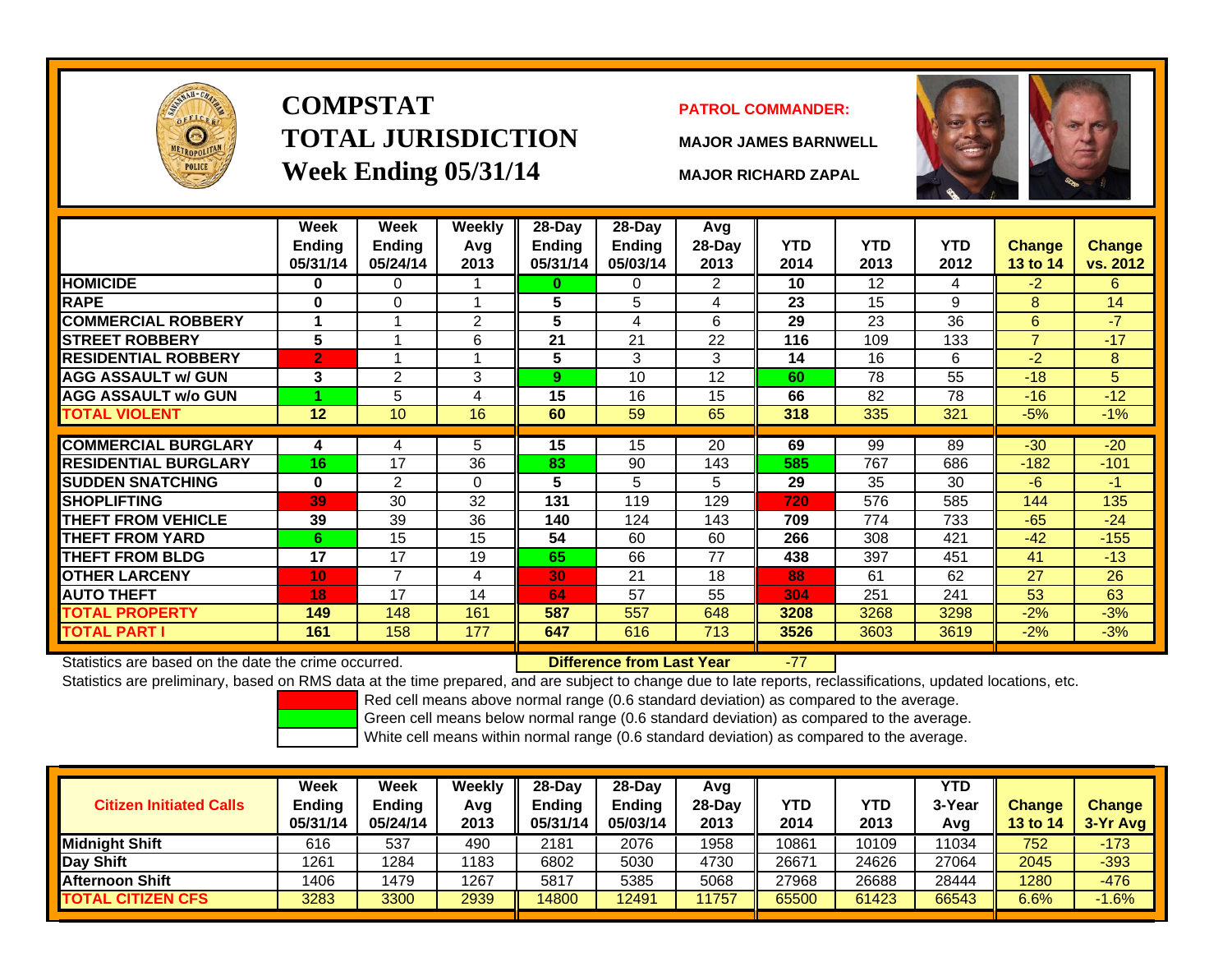

# **COMPSTATTOTAL JURISDICTIONWeek Ending 05/31/14 MAJOR RICHARD ZAPAL**

#### **PATROL COMMANDER:**

**MAJOR JAMES BARNWELL**



-77

|                             | Week<br>Ending<br>05/31/14 | Week<br><b>Ending</b><br>05/24/14 | Weekly<br>Avg<br>2013 | 28-Day<br>Ending<br>05/31/14 | $28$ -Day<br><b>Ending</b><br>05/03/14 | Avg<br>28-Day<br>2013 | <b>YTD</b><br>2014 | <b>YTD</b><br>2013 | <b>YTD</b><br>2012 | <b>Change</b><br>13 to 14 | Change<br>vs. 2012 |
|-----------------------------|----------------------------|-----------------------------------|-----------------------|------------------------------|----------------------------------------|-----------------------|--------------------|--------------------|--------------------|---------------------------|--------------------|
| <b>HOMICIDE</b>             | 0                          | 0                                 |                       | 0                            | 0                                      | 2                     | 10                 | $12 \overline{ }$  | 4                  | $-2$                      | 6                  |
| <b>RAPE</b>                 | 0                          | $\Omega$                          |                       | 5                            | 5                                      | 4                     | 23                 | 15                 | 9                  | 8                         | 14                 |
| <b>COMMERCIAL ROBBERY</b>   | 1                          | 1                                 | 2                     | 5                            | 4                                      | 6                     | 29                 | 23                 | 36                 | 6                         | $-7$               |
| <b>STREET ROBBERY</b>       | 5                          |                                   | 6                     | 21                           | 21                                     | 22                    | 116                | 109                | 133                | $\overline{7}$            | $-17$              |
| <b>IRESIDENTIAL ROBBERY</b> | $\overline{2}$             |                                   |                       | 5                            | 3                                      | 3                     | 14                 | 16                 | 6                  | $-2$                      | 8                  |
| <b>AGG ASSAULT w/ GUN</b>   | 3                          | $\overline{2}$                    | 3                     | 9                            | 10                                     | 12                    | 60                 | 78                 | 55                 | $-18$                     | 5                  |
| <b>AGG ASSAULT w/o GUN</b>  |                            | 5                                 | 4                     | 15                           | 16                                     | 15                    | 66                 | 82                 | 78                 | $-16$                     | $-12$              |
| TOTAL VIOLENT               | 12                         | 10 <sup>°</sup>                   | 16                    | 60                           | 59                                     | 65                    | 318                | 335                | 321                | $-5%$                     | $-1\%$             |
| <b>COMMERCIAL BURGLARY</b>  | 4                          | 4                                 | 5                     | 15                           | 15                                     | 20                    | 69                 | 99                 | 89                 | $-30$                     | $-20$              |
| <b>RESIDENTIAL BURGLARY</b> | 16                         | 17                                | 36                    | 83                           | 90                                     | 143                   | 585                | 767                | 686                | $-182$                    | $-101$             |
| <b>SUDDEN SNATCHING</b>     | $\bf{0}$                   | $\overline{2}$                    | $\Omega$              | 5                            | 5                                      | 5                     | 29                 | 35                 | 30                 | -6                        | $-1$               |
| <b>SHOPLIFTING</b>          | 39                         | 30                                | 32                    | 131                          | 119                                    | 129                   | 720                | 576                | 585                | 144                       | 135                |
| <b>THEFT FROM VEHICLE</b>   | 39                         | 39                                | 36                    | 140                          | 124                                    | 143                   | 709                | 774                | 733                | $-65$                     | $-24$              |
| <b>THEFT FROM YARD</b>      | 6                          | 15                                | 15                    | 54                           | 60                                     | 60                    | 266                | 308                | 421                | $-42$                     | $-155$             |
| <b>THEFT FROM BLDG</b>      | 17                         | 17                                | 19                    | 65                           | 66                                     | 77                    | 438                | 397                | 451                | 41                        | $-13$              |
| <b>OTHER LARCENY</b>        | 10                         | 7                                 | 4                     | 30                           | 21                                     | 18                    | 88                 | 61                 | 62                 | 27                        | 26                 |
| <b>AUTO THEFT</b>           | 18                         | 17                                | 14                    | 64                           | 57                                     | 55                    | 304                | 251                | 241                | 53                        | 63                 |
| <b>TOTAL PROPERTY</b>       | 149                        | 148                               | 161                   | 587                          | 557                                    | 648                   | 3208               | 3268               | 3298               | $-2%$                     | $-3%$              |
| <b>TOTAL PART I</b>         | 161                        | 158                               | 177                   | 647                          | 616                                    | 713                   | 3526               | 3603               | 3619               | $-2%$                     | $-3%$              |

Statistics are based on the date the crime occurred. **Difference from Last Year** 

Statistics are preliminary, based on RMS data at the time prepared, and are subject to change due to late reports, reclassifications, updated locations, etc.

Red cell means above normal range (0.6 standard deviation) as compared to the average.

Green cell means below normal range (0.6 standard deviation) as compared to the average.

| <b>Citizen Initiated Calls</b> | Week<br>Ending<br>05/31/14 | <b>Week</b><br><b>Ending</b><br>05/24/14 | Weekly<br>Avg<br>2013 | $28-Dav$<br><b>Endina</b><br>05/31/14 | 28-Dav<br><b>Ending</b><br>05/03/14 | Avg<br>28-Dav<br>2013 | <b>YTD</b><br>2014 | YTD<br>2013 | <b>YTD</b><br>3-Year<br>Avg | <b>Change</b><br><b>13 to 14</b> | <b>Change</b><br>3-Yr Avg |
|--------------------------------|----------------------------|------------------------------------------|-----------------------|---------------------------------------|-------------------------------------|-----------------------|--------------------|-------------|-----------------------------|----------------------------------|---------------------------|
| Midniaht Shift                 | 616                        | 537                                      | 490                   | 2181                                  | 2076                                | 1958                  | 10861              | 10109       | 11034                       | 752                              | $-173$                    |
| Day Shift                      | 1261                       | 1284                                     | 1183                  | 6802                                  | 5030                                | 4730                  | 26671              | 24626       | 27064                       | 2045                             | $-393$                    |
| Afternoon Shift                | 1406                       | 1479                                     | 1267                  | 5817                                  | 5385                                | 5068                  | 27968              | 26688       | 28444                       | 1280                             | $-476$                    |
| <b>TOTAL CITIZEN CFS</b>       | 3283                       | 3300                                     | 2939                  | 14800                                 | 12491                               | 1757                  | 65500              | 61423       | 66543                       | 6.6%                             | $-1.6%$                   |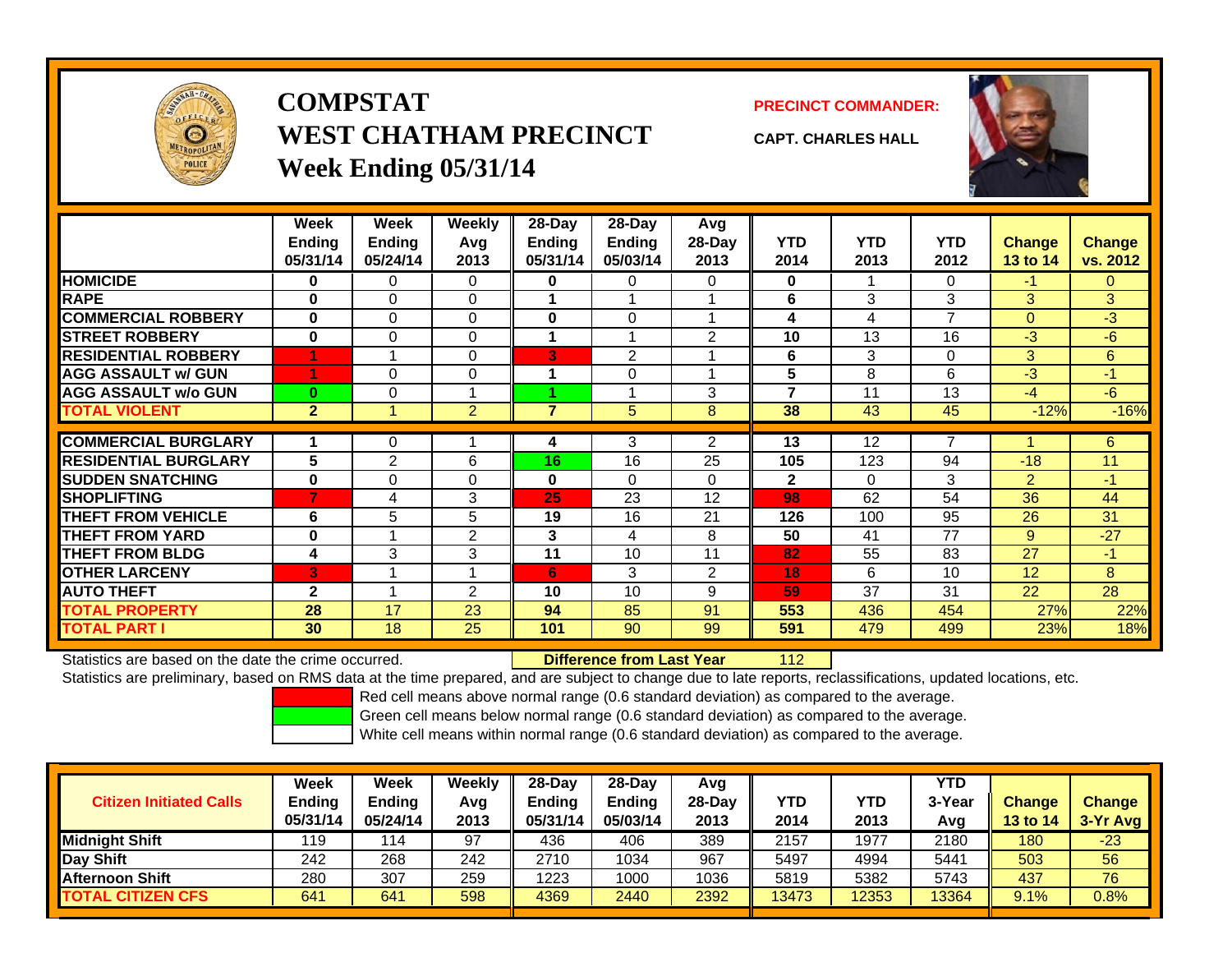

## **COMPSTATWEST CHATHAM PRECINCTWeek Ending 05/31/14**

**PRECINCT COMMANDER:**



**CAPT. CHARLES HALL**

|                             | Week<br><b>Ending</b><br>05/31/14 | Week<br><b>Ending</b><br>05/24/14 | Weekly<br>Avg<br>2013 | 28-Day<br>Ending<br>05/31/14 | $28-Day$<br><b>Ending</b><br>05/03/14 | Avg<br>$28-Day$<br>2013 | <b>YTD</b><br>2014 | <b>YTD</b><br>2013 | YTD.<br>2012 | <b>Change</b><br>13 to 14 | <b>Change</b><br>vs. 2012 |
|-----------------------------|-----------------------------------|-----------------------------------|-----------------------|------------------------------|---------------------------------------|-------------------------|--------------------|--------------------|--------------|---------------------------|---------------------------|
| <b>HOMICIDE</b>             | 0                                 | $\Omega$                          | 0                     | $\mathbf 0$                  | 0                                     | $\Omega$                | 0                  |                    | 0            | $-1$                      | 0                         |
| <b>RAPE</b>                 | $\bf{0}$                          | $\Omega$                          | 0                     |                              |                                       |                         | 6                  | 3                  | 3            | 3                         | 3                         |
| <b>COMMERCIAL ROBBERY</b>   | $\bf{0}$                          | $\Omega$                          | 0                     | $\bf{0}$                     | 0                                     |                         | 4                  | 4                  | 7            | $\mathbf{0}$              | $-3$                      |
| <b>STREET ROBBERY</b>       | $\mathbf 0$                       | $\Omega$                          | $\Omega$              |                              |                                       | 2                       | 10                 | 13                 | 16           | $-3$                      | $-6$                      |
| <b>RESIDENTIAL ROBBERY</b>  |                                   |                                   | $\Omega$              | 3                            | 2                                     |                         | 6                  | 3                  | 0            | 3                         | 6                         |
| <b>AGG ASSAULT w/ GUN</b>   |                                   | $\Omega$                          | $\Omega$              | 1                            | $\Omega$                              |                         | 5                  | 8                  | 6            | $-3$                      | $-1$                      |
| <b>AGG ASSAULT w/o GUN</b>  | $\bf{0}$                          | $\Omega$                          |                       |                              |                                       | 3                       | 7                  | 11                 | 13           | $-4$                      | $-6$                      |
| <b>TOTAL VIOLENT</b>        | $\overline{2}$                    |                                   | $\overline{2}$        | 7                            | 5                                     | 8                       | 38                 | 43                 | 45           | $-12%$                    | $-16%$                    |
|                             |                                   |                                   |                       |                              |                                       |                         |                    |                    |              |                           |                           |
| <b>COMMERCIAL BURGLARY</b>  |                                   | $\Omega$                          |                       | 4                            | 3                                     | $\overline{2}$          | 13                 | 12                 | 7            |                           | 6                         |
| <b>RESIDENTIAL BURGLARY</b> | 5                                 | 2                                 | 6                     | 16                           | 16                                    | 25                      | 105                | 123                | 94           | $-18$                     | 11                        |
| <b>SUDDEN SNATCHING</b>     | $\bf{0}$                          | $\Omega$                          | $\Omega$              | $\bf{0}$                     | $\Omega$                              | $\Omega$                | $\mathbf{2}$       | $\Omega$           | 3            | 2                         | $-1$                      |
| <b>SHOPLIFTING</b>          | 7                                 | 4                                 | 3                     | 25                           | 23                                    | 12                      | 98                 | 62                 | 54           | 36                        | 44                        |
| <b>THEFT FROM VEHICLE</b>   | 6                                 | 5                                 | 5                     | 19                           | 16                                    | 21                      | 126                | 100                | 95           | 26                        | 31                        |
| <b>THEFT FROM YARD</b>      | $\bf{0}$                          |                                   | $\overline{2}$        | 3                            | 4                                     | 8                       | 50                 | 41                 | 77           | 9                         | $-27$                     |
| <b>THEFT FROM BLDG</b>      | 4                                 | 3                                 | 3                     | 11                           | 10                                    | 11                      | 82                 | 55                 | 83           | 27                        | -1                        |
| <b>OTHER LARCENY</b>        | 3                                 |                                   |                       | 6                            | 3                                     | $\overline{2}$          | 18                 | 6                  | 10           | 12                        | 8                         |
| <b>AUTO THEFT</b>           | $\mathbf{2}$                      |                                   | 2                     | 10                           | 10                                    | 9                       | 59                 | 37                 | 31           | 22                        | 28                        |
| <b>TOTAL PROPERTY</b>       | 28                                | 17                                | 23                    | 94                           | 85                                    | 91                      | 553                | 436                | 454          | 27%                       | 22%                       |
| <b>TOTAL PART I</b>         | 30                                | 18                                | 25                    | 101                          | 90                                    | 99                      | 591                | 479                | 499          | 23%                       | 18%                       |

Statistics are based on the date the crime occurred. **Difference from Last Year** 

112

Statistics are preliminary, based on RMS data at the time prepared, and are subject to change due to late reports, reclassifications, updated locations, etc.

Red cell means above normal range (0.6 standard deviation) as compared to the average.

Green cell means below normal range (0.6 standard deviation) as compared to the average.

| <b>Citizen Initiated Calls</b> | Week<br><b>Ending</b><br>05/31/14 | <b>Week</b><br><b>Ending</b><br>05/24/14 | <b>Weekly</b><br>Avg<br>2013 | $28-Day$<br><b>Ending</b><br>05/31/14 | $28$ -Day<br><b>Ending</b><br>05/03/14 | Avg<br>28-Day<br>2013 | YTD<br>2014 | YTD<br>2013 | <b>YTD</b><br>3-Year<br>Avg | <b>Change</b><br><b>13 to 14</b> | <b>Change</b><br>3-Yr Avg |
|--------------------------------|-----------------------------------|------------------------------------------|------------------------------|---------------------------------------|----------------------------------------|-----------------------|-------------|-------------|-----------------------------|----------------------------------|---------------------------|
| Midnight Shift                 | 119                               | 114                                      | 97                           | 436                                   | 406                                    | 389                   | 2157        | 1977        | 2180                        | 180                              | $-23$                     |
| Day Shift                      | 242                               | 268                                      | 242                          | 2710                                  | 1034                                   | 967                   | 5497        | 4994        | 5441                        | 503                              | 56                        |
| <b>Afternoon Shift</b>         | 280                               | 307                                      | 259                          | 1223                                  | 1000                                   | 1036                  | 5819        | 5382        | 5743                        | 437                              | 76                        |
| <b>TOTAL CITIZEN CFS</b>       | 641                               | 641                                      | 598                          | 4369                                  | 2440                                   | 2392                  | 13473       | 12353       | 13364                       | 9.1%                             | 0.8%                      |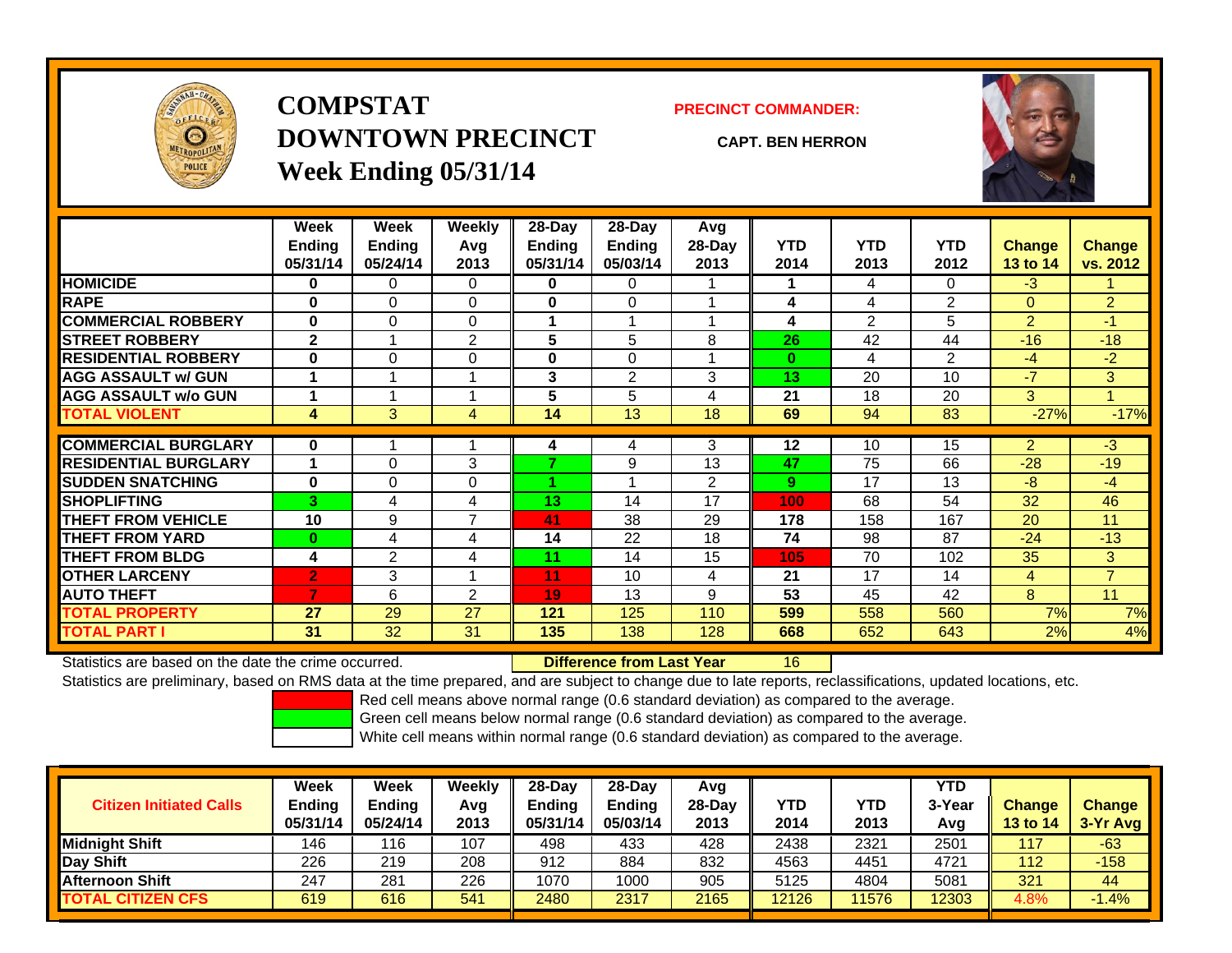

## **COMPSTATDOWNTOWN PRECINCTWeek Ending 05/31/14**

**PRECINCT COMMANDER:**

**CAPT. BEN HERRON**



|                             | Week<br><b>Ending</b> | Week<br><b>Ending</b> | Weekly<br>Avg            | 28-Day<br><b>Ending</b> | $28-Day$<br><b>Ending</b> | Avg<br>28-Day | <b>YTD</b> | <b>YTD</b> | <b>YTD</b>     | <b>Change</b>   | Change              |
|-----------------------------|-----------------------|-----------------------|--------------------------|-------------------------|---------------------------|---------------|------------|------------|----------------|-----------------|---------------------|
|                             | 05/31/14              | 05/24/14              | 2013                     | 05/31/14                | 05/03/14                  | 2013          | 2014       | 2013       | 2012           | <b>13 to 14</b> | vs. 2012            |
| <b>HOMICIDE</b>             | 0                     | 0                     | 0                        | 0                       | 0                         |               |            | 4          | 0              | $-3$            |                     |
| <b>RAPE</b>                 | $\bf{0}$              | 0                     | $\Omega$                 | 0                       | 0                         |               | 4          | 4          | $\overline{2}$ | $\Omega$        | $\overline{2}$      |
| <b>COMMERCIAL ROBBERY</b>   | 0                     | 0                     | 0                        | 1                       |                           |               | 4          | 2          | 5              | 2               | $-1$                |
| <b>STREET ROBBERY</b>       | $\mathbf{2}$          |                       | $\overline{2}$           | 5                       | 5                         | 8             | 26         | 42         | 44             | $-16$           | $-18$               |
| <b>RESIDENTIAL ROBBERY</b>  | 0                     | 0                     | $\Omega$                 | 0                       | 0                         |               | $\bf{0}$   | 4          | $\overline{2}$ | $-4$            | $-2$                |
| <b>AGG ASSAULT w/ GUN</b>   |                       |                       |                          | 3                       | $\overline{2}$            | 3             | 13         | 20         | 10             | $-7$            | 3                   |
| <b>AGG ASSAULT w/o GUN</b>  |                       |                       |                          | 5                       | 5                         | 4             | 21         | 18         | 20             | 3               | $\overline{\bf{4}}$ |
| <b>TOTAL VIOLENT</b>        | 4                     | 3                     | 4                        | 14                      | 13                        | 18            | 69         | 94         | 83             | $-27%$          | $-17%$              |
| <b>COMMERCIAL BURGLARY</b>  | $\bf{0}$              |                       |                          |                         |                           | 3             | $12 \,$    | 10         | 15             | 2               | $-3$                |
| <b>RESIDENTIAL BURGLARY</b> |                       | 0                     | 3                        | 4<br>⇁                  | 4<br>9                    | 13            | 47         | 75         | 66             | $-28$           | $-19$               |
|                             |                       |                       |                          |                         |                           |               |            |            |                |                 |                     |
| <b>SUDDEN SNATCHING</b>     | $\bf{0}$              | 0                     | $\Omega$                 |                         |                           | 2             | 9          | 17         | 13             | -8              | $-4$                |
| <b>SHOPLIFTING</b>          | 3                     | 4                     | 4                        | 13                      | 14                        | 17            | 100        | 68         | 54             | 32              | 46                  |
| <b>THEFT FROM VEHICLE</b>   | 10                    | 9                     | $\overline{\phantom{a}}$ | 41                      | 38                        | 29            | 178        | 158        | 167            | 20              | 11                  |
| <b>THEFT FROM YARD</b>      | $\bf{0}$              | 4                     | 4                        | 14                      | 22                        | 18            | 74         | 98         | 87             | $-24$           | $-13$               |
| <b>THEFT FROM BLDG</b>      | 4                     | $\overline{2}$        | 4                        | 11                      | 14                        | 15            | 105        | 70         | 102            | 35              | 3                   |
| <b>OTHER LARCENY</b>        | $\overline{2}$        | 3                     | $\overline{A}$           | 11                      | 10                        | 4             | 21         | 17         | 14             | 4               | $\overline{7}$      |
| <b>AUTO THEFT</b>           | 7                     | 6                     | $\overline{2}$           | 19                      | 13                        | 9             | 53         | 45         | 42             | 8               | 11                  |
| <b>TOTAL PROPERTY</b>       | 27                    | 29                    | 27                       | 121                     | 125                       | 110           | 599        | 558        | 560            | 7%              | 7%                  |
| <b>TOTAL PART I</b>         | 31                    | 32                    | 31                       | 135                     | 138                       | 128           | 668        | 652        | 643            | 2%              | 4%                  |

Statistics are based on the date the crime occurred. **Difference from Last Year** 

16

Statistics are preliminary, based on RMS data at the time prepared, and are subject to change due to late reports, reclassifications, updated locations, etc.

Red cell means above normal range (0.6 standard deviation) as compared to the average.

Green cell means below normal range (0.6 standard deviation) as compared to the average.

| <b>Citizen Initiated Calls</b> | Week<br>Ending<br>05/31/14 | <b>Week</b><br><b>Endina</b><br>05/24/14 | Weekly<br>Avg<br>2013 | $28-Dav$<br>Ending<br>05/31/14 | 28-Dav<br><b>Endina</b><br>05/03/14 | Avg<br>28-Day<br>2013 | <b>YTD</b><br>2014 | YTD<br>2013 | YTD<br>3-Year<br>Avg | <b>Change</b><br><b>13 to 14</b> | <b>Change</b><br>3-Yr Avg |
|--------------------------------|----------------------------|------------------------------------------|-----------------------|--------------------------------|-------------------------------------|-----------------------|--------------------|-------------|----------------------|----------------------------------|---------------------------|
| <b>Midnight Shift</b>          | 146                        | 16                                       | 107                   | 498                            | 433                                 | 428                   | 2438               | 2321        | 2501                 | 117                              | $-63$                     |
| Day Shift                      | 226                        | 219                                      | 208                   | 912                            | 884                                 | 832                   | 4563               | 4451        | 4721                 | 112                              | $-158$                    |
| <b>Afternoon Shift</b>         | 247                        | 281                                      | 226                   | 1070                           | 1000                                | 905                   | 5125               | 4804        | 5081                 | 321                              | 44                        |
| <b>TOTAL CITIZEN CFS</b>       | 619                        | 616                                      | 541                   | 2480                           | 2317                                | 2165                  | 12126              | 11576       | 12303                | 4.8%                             | $.4\%$                    |

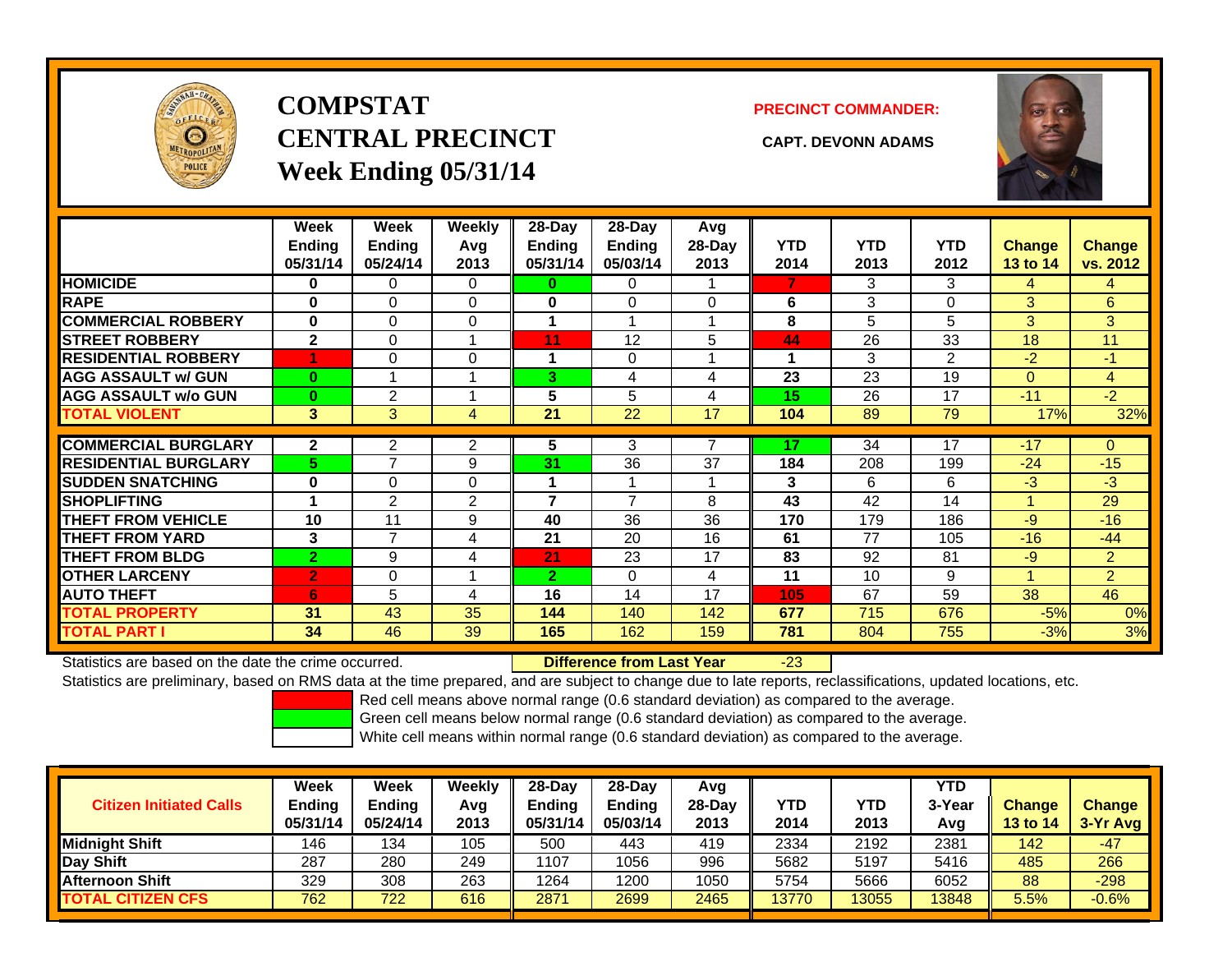

## **COMPSTATCENTRAL PRECINCT CAPT. DEVONN ADAMSWeek Ending 05/31/14**

**PRECINCT COMMANDER:**



|                             | Week<br><b>Ending</b><br>05/31/14 | Week<br><b>Ending</b><br>05/24/14 | Weekly<br>Avg<br>2013 | $28-Day$<br><b>Ending</b><br>05/31/14 | $28-Day$<br><b>Endina</b><br>05/03/14 | Avg<br>28-Day<br>2013 | <b>YTD</b><br>2014 | <b>YTD</b><br>2013 | <b>YTD</b><br>2012 | <b>Change</b><br>13 to 14 | <b>Change</b><br>vs. 2012 |
|-----------------------------|-----------------------------------|-----------------------------------|-----------------------|---------------------------------------|---------------------------------------|-----------------------|--------------------|--------------------|--------------------|---------------------------|---------------------------|
| <b>HOMICIDE</b>             | 0                                 | 0                                 | 0                     | $\bf{0}$                              | 0                                     |                       | 7                  | 3                  | 3                  | 4                         | 4                         |
| <b>RAPE</b>                 | 0                                 | $\Omega$                          | 0                     | 0                                     | 0                                     | $\Omega$              | 6                  | 3                  | 0                  | 3                         | 6                         |
| <b>COMMERCIAL ROBBERY</b>   | $\bf{0}$                          | $\Omega$                          | 0                     |                                       |                                       |                       | 8                  | 5                  | 5                  | 3                         | 3                         |
| <b>STREET ROBBERY</b>       | $\mathbf{2}$                      | $\Omega$                          |                       | 11                                    | 12                                    | 5                     | 44                 | 26                 | 33                 | 18                        | 11                        |
| <b>RESIDENTIAL ROBBERY</b>  |                                   | $\Omega$                          | 0                     | 1                                     | 0                                     |                       |                    | 3                  | 2                  | $-2$                      | $-1$                      |
| <b>AGG ASSAULT w/ GUN</b>   | $\bf{0}$                          |                                   |                       | 3                                     | 4                                     | 4                     | 23                 | 23                 | 19                 | $\Omega$                  | $\overline{4}$            |
| <b>AGG ASSAULT w/o GUN</b>  | $\bf{0}$                          | $\overline{2}$                    |                       | 5                                     | 5                                     | 4                     | 15                 | 26                 | 17                 | $-11$                     | $-2$                      |
| <b>TOTAL VIOLENT</b>        | 3                                 | 3                                 | 4                     | 21                                    | 22                                    | 17                    | 104                | 89                 | 79                 | 17%                       | 32%                       |
| <b>COMMERCIAL BURGLARY</b>  | $\mathbf{2}$                      | $\overline{2}$                    | 2                     | 5                                     | 3                                     | 7                     | 17                 | 34                 | 17                 | $-17$                     | 0                         |
| <b>RESIDENTIAL BURGLARY</b> | 5                                 | 7                                 | 9                     | 31                                    | 36                                    | 37                    | 184                | 208                | 199                | $-24$                     | $-15$                     |
| <b>ISUDDEN SNATCHING</b>    | 0                                 | $\Omega$                          | 0                     | 4                                     |                                       | и                     | 3                  | 6                  | 6                  | $-3$                      | $-3$                      |
| <b>SHOPLIFTING</b>          |                                   | 2                                 | $\overline{2}$        | $\overline{\phantom{a}}$              | 7                                     | 8                     | 43                 | 42                 | 14                 |                           | 29                        |
| <b>THEFT FROM VEHICLE</b>   | 10                                | 11                                | 9                     | 40                                    | 36                                    | 36                    | 170                | 179                | 186                | $-9$                      | $-16$                     |
| <b>THEFT FROM YARD</b>      | 3                                 | 7                                 | 4                     | 21                                    | 20                                    | 16                    | 61                 | 77                 | 105                | $-16$                     | $-44$                     |
| <b>THEFT FROM BLDG</b>      | $\overline{2}$                    | 9                                 | 4                     | 21                                    | 23                                    | 17                    | 83                 | 92                 | 81                 | $-9$                      | $\overline{2}$            |
| <b>OTHER LARCENY</b>        | $\overline{2}$                    | $\Omega$                          |                       | $\overline{2}$                        | 0                                     | 4                     | 11                 | 10                 | 9                  |                           | $\overline{2}$            |
| <b>AUTO THEFT</b>           | 6                                 | 5                                 | 4                     | 16                                    | 14                                    | 17                    | 105                | 67                 | 59                 | 38                        | 46                        |
| <b>TOTAL PROPERTY</b>       | 31                                | 43                                | 35                    | 144                                   | 140                                   | 142                   | 677                | 715                | 676                | $-5%$                     | 0%                        |
| <b>TOTAL PART I</b>         | 34                                | 46                                | 39                    | 165                                   | 162                                   | 159                   | 781                | 804                | 755                | $-3%$                     | 3%                        |

Statistics are based on the date the crime occurred. **Difference from Last Year** 

-23

Statistics are preliminary, based on RMS data at the time prepared, and are subject to change due to late reports, reclassifications, updated locations, etc.

Red cell means above normal range (0.6 standard deviation) as compared to the average.

Green cell means below normal range (0.6 standard deviation) as compared to the average.

| <b>Citizen Initiated Calls</b> | Week<br>Ending<br>05/31/14 | Week<br><b>Ending</b><br>05/24/14 | Weekly<br>Avg<br>2013 | 28-Dav<br><b>Ending</b><br>05/31/14 | 28-Dav<br><b>Ending</b><br>05/03/14 | Avg<br>28-Day<br>2013 | <b>YTD</b><br>2014 | YTD<br>2013 | YTD<br>3-Yea<br>Avg | <b>Change</b><br><b>13 to 14</b> | <b>Change</b><br>3-Yr Avg |
|--------------------------------|----------------------------|-----------------------------------|-----------------------|-------------------------------------|-------------------------------------|-----------------------|--------------------|-------------|---------------------|----------------------------------|---------------------------|
| <b>Midnight Shift</b>          | 146                        | 134                               | 105                   | 500                                 | 443                                 | 419                   | 2334               | 2192        | 2381                | 142                              | -47                       |
| Day Shift                      | 287                        | 280                               | 249                   | 1107                                | 1056                                | 996                   | 5682               | 5197        | 5416                | 485                              | 266                       |
| <b>Afternoon Shift</b>         | 329                        | 308                               | 263                   | 1264                                | 1200                                | 1050                  | 5754               | 5666        | 6052                | 88                               | $-298$                    |
| <b>TOTAL CITIZEN CFS</b>       | 762                        | 722                               | 616                   | 2871                                | 2699                                | 2465                  | 13770              | 13055       | 13848               | 5.5%                             | $-0.6%$                   |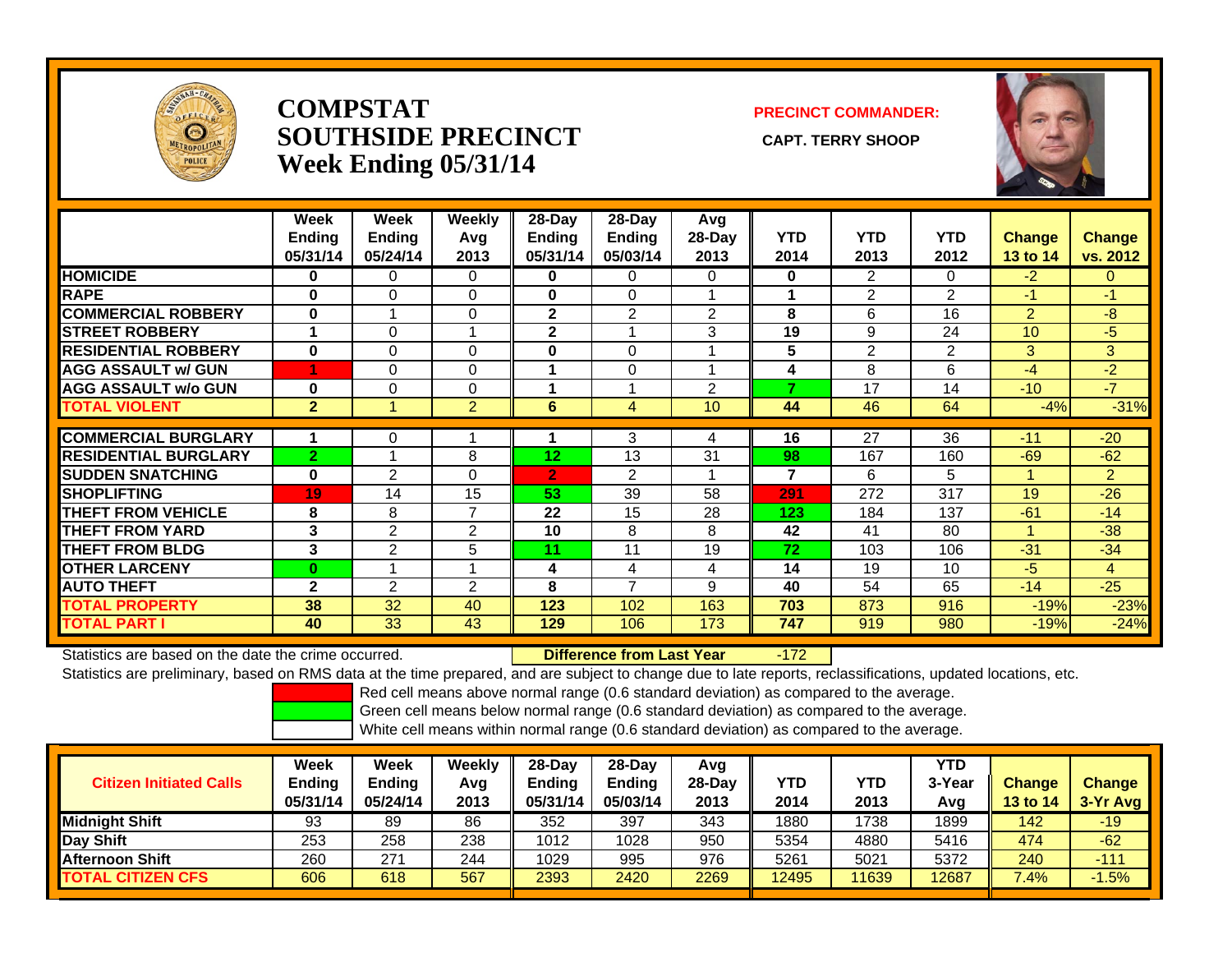

#### **COMPSTATSOUTHSIDE PRECINCT** CAPT. TERRY SHOOP **Week Ending 05/31/14**

#### **PRECINCT COMMANDER:**



|                             | Week<br><b>Ending</b><br>05/31/14 | Week<br><b>Ending</b><br>05/24/14 | <b>Weekly</b><br>Avg<br>2013 | $28$ -Day<br><b>Ending</b><br>05/31/14 | $28-Day$<br><b>Ending</b><br>05/03/14 | Avg<br>28-Day<br>2013 | <b>YTD</b><br>2014 | <b>YTD</b><br>2013 | <b>YTD</b><br>2012 | <b>Change</b><br>13 to 14 | <b>Change</b><br>vs. 2012 |
|-----------------------------|-----------------------------------|-----------------------------------|------------------------------|----------------------------------------|---------------------------------------|-----------------------|--------------------|--------------------|--------------------|---------------------------|---------------------------|
| <b>HOMICIDE</b>             | 0                                 | 0                                 | $\mathbf 0$                  | 0                                      | 0                                     | 0                     | $\mathbf 0$        | 2                  | 0                  | $-2$                      | $\Omega$                  |
| <b>RAPE</b>                 | $\bf{0}$                          | 0                                 | 0                            | 0                                      | 0                                     |                       |                    | $\overline{2}$     | 2                  | $-1$                      | $-1$                      |
| <b>COMMERCIAL ROBBERY</b>   | $\bf{0}$                          |                                   | $\Omega$                     | $\mathbf{2}$                           | 2                                     | 2                     | 8                  | 6                  | 16                 | 2                         | $-8$                      |
| <b>STREET ROBBERY</b>       | 1                                 | $\Omega$                          |                              | $\mathbf{2}$                           |                                       | 3                     | 19                 | 9                  | 24                 | 10 <sup>°</sup>           | $-5$                      |
| <b>RESIDENTIAL ROBBERY</b>  | $\bf{0}$                          | 0                                 | 0                            | 0                                      | 0                                     |                       | 5                  | $\overline{2}$     | $\overline{2}$     | 3 <sup>1</sup>            | 3 <sup>1</sup>            |
| <b>AGG ASSAULT w/ GUN</b>   |                                   | 0                                 | $\Omega$                     |                                        | 0                                     |                       | 4                  | 8                  | 6                  | $-4$                      | $-2$                      |
| <b>AGG ASSAULT w/o GUN</b>  | $\bf{0}$                          | 0                                 | 0                            |                                        |                                       | $\overline{2}$        | 7                  | 17                 | 14                 | $-10$                     | $-7$                      |
| <b>TOTAL VIOLENT</b>        | $\overline{2}$                    |                                   | 2                            | 6                                      | 4                                     | 10 <sup>°</sup>       | 44                 | 46                 | 64                 | $-4%$                     | $-31%$                    |
|                             |                                   |                                   |                              |                                        |                                       |                       |                    |                    |                    |                           |                           |
| <b>COMMERCIAL BURGLARY</b>  | 1                                 | 0                                 |                              |                                        | 3                                     | 4                     | 16                 | 27                 | 36                 | $-11$                     | $-20$                     |
| <b>RESIDENTIAL BURGLARY</b> | $\overline{2}$                    |                                   | 8                            | 12                                     | 13                                    | 31                    | 98                 | 167                | 160                | $-69$                     | $-62$                     |
| <b>SUDDEN SNATCHING</b>     | $\bf{0}$                          | $\overline{2}$                    | $\Omega$                     | $\overline{2}$                         | $\overline{2}$                        |                       | $\overline{7}$     | 6                  | 5                  | 1                         | $\overline{2}$            |
| <b>SHOPLIFTING</b>          | 19                                | 14                                | 15                           | 53                                     | 39                                    | 58                    | 291                | 272                | 317                | 19                        | $-26$                     |
| <b>THEFT FROM VEHICLE</b>   | 8                                 | 8                                 | $\overline{7}$               | 22                                     | 15                                    | 28                    | 123                | 184                | 137                | $-61$                     | $-14$                     |
| <b>THEFT FROM YARD</b>      | 3                                 | $\overline{2}$                    | 2                            | 10                                     | 8                                     | 8                     | 42                 | 41                 | 80                 | 4                         | $-38$                     |
| <b>THEFT FROM BLDG</b>      | 3                                 | 2                                 | 5                            | 11                                     | 11                                    | 19                    | 72                 | 103                | 106                | $-31$                     | $-34$                     |
| <b>OTHER LARCENY</b>        | $\bf{0}$                          |                                   |                              | 4                                      | 4                                     | 4                     | 14                 | 19                 | 10                 | $-5$                      | 4                         |
| <b>AUTO THEFT</b>           | $\mathbf{2}$                      | 2                                 | 2                            | 8                                      | 7                                     | 9                     | 40                 | 54                 | 65                 | $-14$                     | $-25$                     |
| <b>TOTAL PROPERTY</b>       | 38                                | 32                                | 40                           | 123                                    | 102                                   | 163                   | 703                | 873                | 916                | $-19%$                    | $-23%$                    |
| <b>TOTAL PART I</b>         | 40                                | 33                                | 43                           | 129                                    | 106                                   | 173                   | 747                | 919                | 980                | $-19%$                    | $-24%$                    |

Statistics are based on the date the crime occurred. **Difference from Last Year** 

-172

Statistics are preliminary, based on RMS data at the time prepared, and are subject to change due to late reports, reclassifications, updated locations, etc.

Red cell means above normal range (0.6 standard deviation) as compared to the average.

Green cell means below normal range (0.6 standard deviation) as compared to the average.

| <b>Citizen Initiated Calls</b> | Week<br>Ending<br>05/31/14 | Week<br><b>Ending</b><br>05/24/14 | Weekly<br>Avg<br>2013 | $28-Dav$<br><b>Ending</b><br>05/31/14 | 28-Dav<br><b>Ending</b><br>05/03/14 | Avg<br>$28-Day$<br>2013 | YTD<br>2014 | YTD<br>2013 | <b>YTD</b><br>3-Year<br>Avg | <b>Change</b><br><b>13 to 14</b> | <b>Change</b><br>3-Yr Avg |
|--------------------------------|----------------------------|-----------------------------------|-----------------------|---------------------------------------|-------------------------------------|-------------------------|-------------|-------------|-----------------------------|----------------------------------|---------------------------|
| <b>Midnight Shift</b>          | 93                         | 89                                | 86                    | 352                                   | 397                                 | 343                     | 1880        | 738         | 1899                        | 142                              | $-19$                     |
| Day Shift                      | 253                        | 258                               | 238                   | 1012                                  | 1028                                | 950                     | 5354        | 4880        | 5416                        | 474                              | $-62$                     |
| <b>Afternoon Shift</b>         | 260                        | 271                               | 244                   | 1029                                  | 995                                 | 976                     | 5261        | 5021        | 5372                        | 240                              | $-111$                    |
| <b>TOTAL CITIZEN CFS</b>       | 606                        | 618                               | 567                   | 2393                                  | 2420                                | 2269                    | 12495       | 11639       | 12687                       | 7.4%                             | $-1.5%$                   |